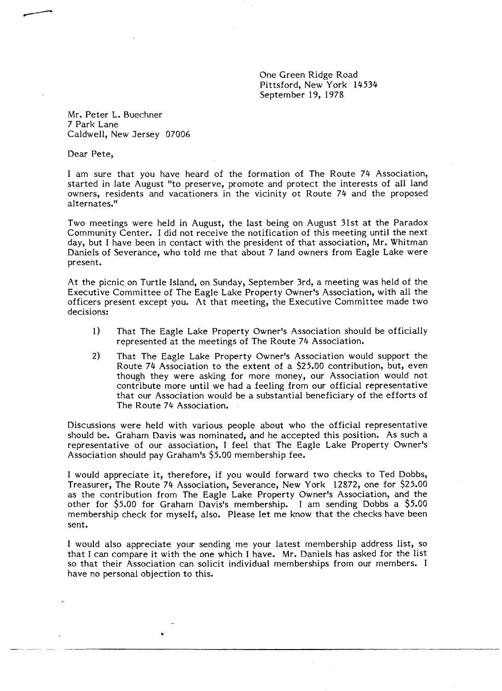One Green Ridge Road Pittsford, New York 14534 September 19, 1978

Mr. Peter L. Buechner 7 Park Lane Caldwell, New Jersey 07006

Dear Pete,

**----**

I am sure that you have heard of the formation of The Route 74 Association, started in late August "to preserve, promote and protect the interests of all land owners, residents and vacationers in the vicinity ot Route 74 and the proposed alternates. "

Two meetings were held in August, the last being on August 31st at the Paradox Community Center. I did not receive the notification of this meeting until the next day, but I have been in contact with the president of that association, Mr. Whitman Daniels of Severance, who told me that about 7 land owners from Eagle Lake were present.

At the picnic on Turtle Island, on Sunday, September 3rd, a meeting was held of the Executive Committee of The Eagle Lake Property Owner's Association, with all the officers present except you. At that meeting, the Executive Committee made two decisions:

- 1) That The Eagle Lake Property Owner's Association should be officially represented at the meetings of The Route 74 Association.
- 2) That The Eagle Lake Property Owner's Association would support the Route 74 Association to the extent of a \$25.00 contribution, but, even though they were asking for more money, our Association would not contribute more until we had a feeling from our official representative that our Association would be a substantial beneficiary of the efforts of The Route 74 Association.

Discussions were held with various people about who the official representative should be. Graham Davis was nominated, and he accepted this position. As such a representative of our association, I feel that The Eagle Lake Property Owner's Association should pay Graham's \$5.00 membership fee.

I would appreciate it, therefore, if you would forward two checks to Ted Dobbs, Treasurer, The Route 74 Association, Severance, New York 12872, one for \$25.00 as the contribution from The Eagle Lake Property Owner's Association, and the other for \$5.00 for Graham Davis's membership. I am sending Dobbs a \$5.00 membership check for myself, also. Please let me know that the checks have been sent.

I would also appreciate your sending me your latest membership address list, so that I can compare it with the one which I have. Mr. Daniels has asked for the list so that their Association can solicit individual memberships from our members. I have no personal objection to this.